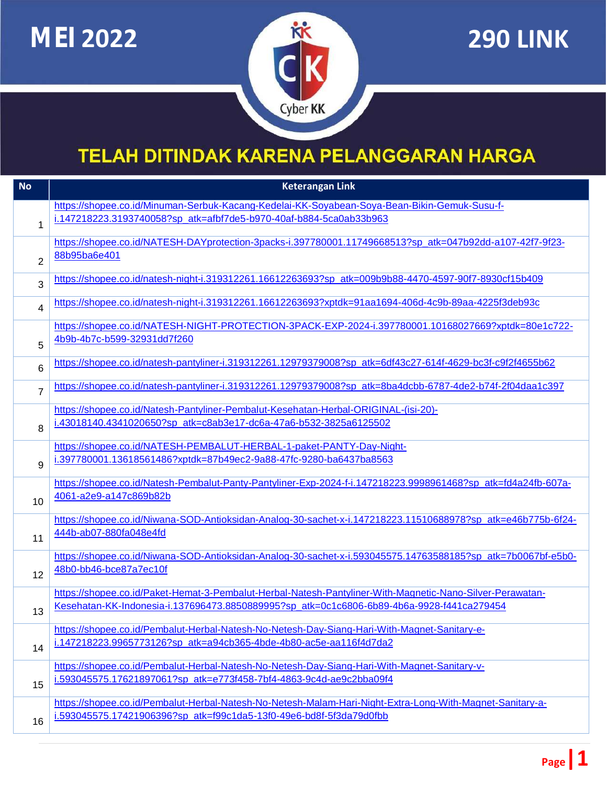# **MEI 2022**



# **290 LINK**

| <b>No</b>      | <b>Keterangan Link</b>                                                                                        |
|----------------|---------------------------------------------------------------------------------------------------------------|
|                | https://shopee.co.id/Minuman-Serbuk-Kacang-Kedelai-KK-Soyabean-Soya-Bean-Bikin-Gemuk-Susu-f-                  |
| $\mathbf 1$    | i.147218223.3193740058?sp atk=afbf7de5-b970-40af-b884-5ca0ab33b963                                            |
|                | https://shopee.co.id/NATESH-DAYprotection-3packs-i.397780001.11749668513?sp atk=047b92dd-a107-42f7-9f23-      |
| $\overline{2}$ | 88b95ba6e401                                                                                                  |
| 3              | https://shopee.co.id/natesh-night-i.319312261.16612263693?sp atk=009b9b88-4470-4597-90f7-8930cf15b409         |
| 4              | https://shopee.co.id/natesh-night-i.319312261.16612263693?xptdk=91aa1694-406d-4c9b-89aa-4225f3deb93c          |
|                | https://shopee.co.id/NATESH-NIGHT-PROTECTION-3PACK-EXP-2024-i.397780001.10168027669?xptdk=80e1c722-           |
| 5              | 4b9b-4b7c-b599-32931dd7f260                                                                                   |
| 6              | https://shopee.co.id/natesh-pantyliner-i.319312261.12979379008?sp atk=6df43c27-614f-4629-bc3f-c9f2f4655b62    |
| $\overline{7}$ | https://shopee.co.id/natesh-pantyliner-i.319312261.12979379008?sp atk=8ba4dcbb-6787-4de2-b74f-2f04daa1c397    |
|                | https://shopee.co.id/Natesh-Pantyliner-Pembalut-Kesehatan-Herbal-ORIGINAL-(isi-20)-                           |
| 8              | i.43018140.4341020650?sp atk=c8ab3e17-dc6a-47a6-b532-3825a6125502                                             |
|                | https://shopee.co.id/NATESH-PEMBALUT-HERBAL-1-paket-PANTY-Day-Night-                                          |
| 9              | i.397780001.13618561486?xptdk=87b49ec2-9a88-47fc-9280-ba6437ba8563                                            |
|                | https://shopee.co.id/Natesh-Pembalut-Panty-Pantyliner-Exp-2024-f-i.147218223.9998961468?sp atk=fd4a24fb-607a- |
| 10             | 4061-a2e9-a147c869b82b                                                                                        |
|                | https://shopee.co.id/Niwana-SOD-Antioksidan-Analog-30-sachet-x-i.147218223.11510688978?sp_atk=e46b775b-6f24-  |
| 11             | 444b-ab07-880fa048e4fd                                                                                        |
|                | https://shopee.co.id/Niwana-SOD-Antioksidan-Analog-30-sachet-x-i.593045575.14763588185?sp atk=7b0067bf-e5b0-  |
| 12             | 48b0-bb46-bce87a7ec10f                                                                                        |
|                | https://shopee.co.id/Paket-Hemat-3-Pembalut-Herbal-Natesh-Pantyliner-With-Magnetic-Nano-Silver-Perawatan-     |
| 13             | Kesehatan-KK-Indonesia-i.137696473.8850889995?sp atk=0c1c6806-6b89-4b6a-9928-f441ca279454                     |
|                | https://shopee.co.id/Pembalut-Herbal-Natesh-No-Netesh-Day-Siang-Hari-With-Magnet-Sanitary-e-                  |
| 14             | i.147218223.9965773126?sp atk=a94cb365-4bde-4b80-ac5e-aa116f4d7da2                                            |
|                | https://shopee.co.id/Pembalut-Herbal-Natesh-No-Netesh-Day-Siang-Hari-With-Magnet-Sanitary-v-                  |
| 15             | i.593045575.17621897061?sp atk=e773f458-7bf4-4863-9c4d-ae9c2bba09f4                                           |
|                | https://shopee.co.id/Pembalut-Herbal-Natesh-No-Netesh-Malam-Hari-Night-Extra-Long-With-Magnet-Sanitary-a-     |
| 16             | i.593045575.17421906396?sp_atk=f99c1da5-13f0-49e6-bd8f-5f3da79d0fbb                                           |
|                |                                                                                                               |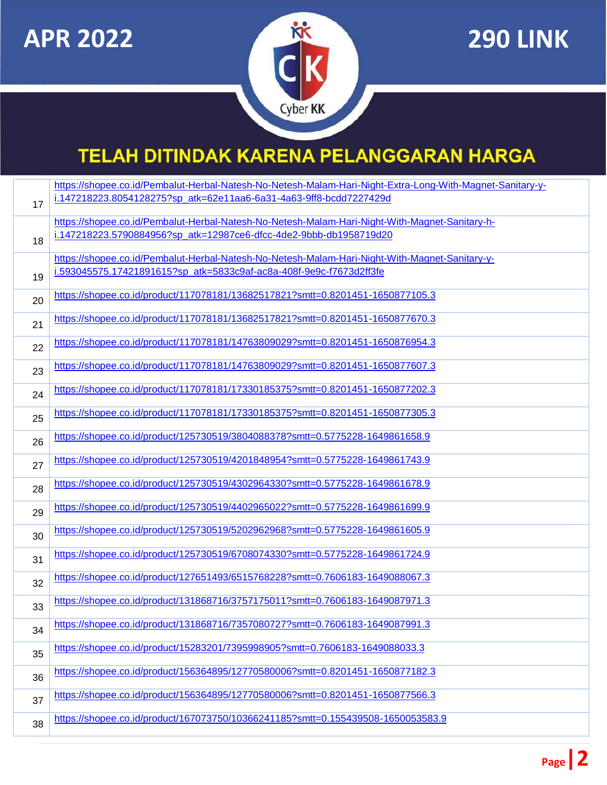

|    | https://shopee.co.id/Pembalut-Herbal-Natesh-No-Netesh-Malam-Hari-Night-Extra-Long-With-Magnet-Sanitary-y- |
|----|-----------------------------------------------------------------------------------------------------------|
| 17 | i.147218223.8054128275?sp atk=62e11aa6-6a31-4a63-9ff8-bcdd7227429d                                        |
|    | https://shopee.co.id/Pembalut-Herbal-Natesh-No-Netesh-Malam-Hari-Night-With-Magnet-Sanitary-h-            |
| 18 | i.147218223.5790884956?sp atk=12987ce6-dfcc-4de2-9bbb-db1958719d20                                        |
|    | https://shopee.co.id/Pembalut-Herbal-Natesh-No-Netesh-Malam-Hari-Night-With-Magnet-Sanitary-y-            |
| 19 | i.593045575.17421891615?sp atk=5833c9af-ac8a-408f-9e9c-f7673d2ff3fe                                       |
| 20 | https://shopee.co.id/product/117078181/13682517821?smtt=0.8201451-1650877105.3                            |
| 21 | https://shopee.co.id/product/117078181/13682517821?smtt=0.8201451-1650877670.3                            |
| 22 | https://shopee.co.id/product/117078181/14763809029?smtt=0.8201451-1650876954.3                            |
| 23 | https://shopee.co.id/product/117078181/14763809029?smtt=0.8201451-1650877607.3                            |
| 24 | https://shopee.co.id/product/117078181/17330185375?smtt=0.8201451-1650877202.3                            |
| 25 | https://shopee.co.id/product/117078181/17330185375?smtt=0.8201451-1650877305.3                            |
| 26 | https://shopee.co.id/product/125730519/3804088378?smtt=0.5775228-1649861658.9                             |
| 27 | https://shopee.co.id/product/125730519/4201848954?smtt=0.5775228-1649861743.9                             |
| 28 | https://shopee.co.id/product/125730519/4302964330?smtt=0.5775228-1649861678.9                             |
| 29 | https://shopee.co.id/product/125730519/4402965022?smtt=0.5775228-1649861699.9                             |
| 30 | https://shopee.co.id/product/125730519/5202962968?smtt=0.5775228-1649861605.9                             |
| 31 | https://shopee.co.id/product/125730519/6708074330?smtt=0.5775228-1649861724.9                             |
| 32 | https://shopee.co.id/product/127651493/6515768228?smtt=0.7606183-1649088067.3                             |
| 33 | https://shopee.co.id/product/131868716/3757175011?smtt=0.7606183-1649087971.3                             |
| 34 | https://shopee.co.id/product/131868716/7357080727?smtt=0.7606183-1649087991.3                             |
| 35 | https://shopee.co.id/product/15283201/7395998905?smtt=0.7606183-1649088033.3                              |
| 36 | https://shopee.co.id/product/156364895/12770580006?smtt=0.8201451-1650877182.3                            |
| 37 | https://shopee.co.id/product/156364895/12770580006?smtt=0.8201451-1650877566.3                            |
| 38 | https://shopee.co.id/product/167073750/10366241185?smtt=0.155439508-1650053583.9                          |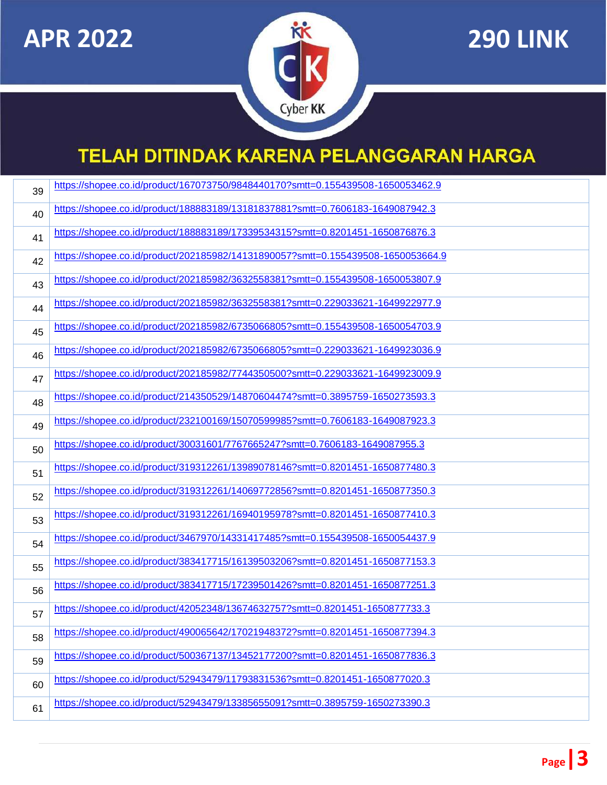

| 39 | https://shopee.co.id/product/167073750/9848440170?smtt=0.155439508-1650053462.9  |
|----|----------------------------------------------------------------------------------|
| 40 | https://shopee.co.id/product/188883189/13181837881?smtt=0.7606183-1649087942.3   |
| 41 | https://shopee.co.id/product/188883189/17339534315?smtt=0.8201451-1650876876.3   |
| 42 | https://shopee.co.id/product/202185982/14131890057?smtt=0.155439508-1650053664.9 |
| 43 | https://shopee.co.id/product/202185982/3632558381?smtt=0.155439508-1650053807.9  |
| 44 | https://shopee.co.id/product/202185982/3632558381?smtt=0.229033621-1649922977.9  |
| 45 | https://shopee.co.id/product/202185982/6735066805?smtt=0.155439508-1650054703.9  |
| 46 | https://shopee.co.id/product/202185982/6735066805?smtt=0.229033621-1649923036.9  |
| 47 | https://shopee.co.id/product/202185982/7744350500?smtt=0.229033621-1649923009.9  |
| 48 | https://shopee.co.id/product/214350529/14870604474?smtt=0.3895759-1650273593.3   |
| 49 | https://shopee.co.id/product/232100169/15070599985?smtt=0.7606183-1649087923.3   |
| 50 | https://shopee.co.id/product/30031601/7767665247?smtt=0.7606183-1649087955.3     |
| 51 | https://shopee.co.id/product/319312261/13989078146?smtt=0.8201451-1650877480.3   |
| 52 | https://shopee.co.id/product/319312261/14069772856?smtt=0.8201451-1650877350.3   |
| 53 | https://shopee.co.id/product/319312261/16940195978?smtt=0.8201451-1650877410.3   |
| 54 | https://shopee.co.id/product/3467970/14331417485?smtt=0.155439508-1650054437.9   |
| 55 | https://shopee.co.id/product/383417715/16139503206?smtt=0.8201451-1650877153.3   |
| 56 | https://shopee.co.id/product/383417715/17239501426?smtt=0.8201451-1650877251.3   |
| 57 | https://shopee.co.id/product/42052348/13674632757?smtt=0.8201451-1650877733.3    |
| 58 | https://shopee.co.id/product/490065642/17021948372?smtt=0.8201451-1650877394.3   |
| 59 | https://shopee.co.id/product/500367137/13452177200?smtt=0.8201451-1650877836.3   |
| 60 | https://shopee.co.id/product/52943479/11793831536?smtt=0.8201451-1650877020.3    |
| 61 | https://shopee.co.id/product/52943479/13385655091?smtt=0.3895759-1650273390.3    |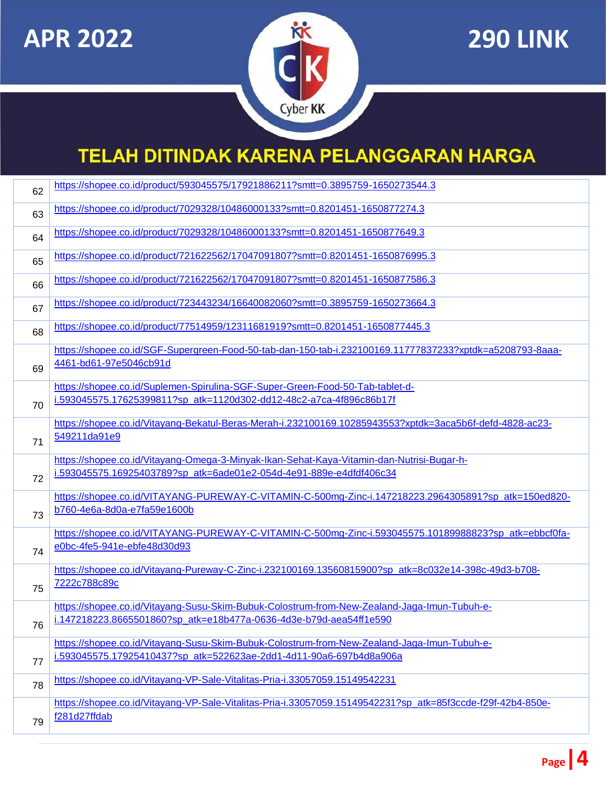

| 62 | https://shopee.co.id/product/593045575/17921886211?smtt=0.3895759-1650273544.3                                                                                     |
|----|--------------------------------------------------------------------------------------------------------------------------------------------------------------------|
| 63 | https://shopee.co.id/product/7029328/10486000133?smtt=0.8201451-1650877274.3                                                                                       |
| 64 | https://shopee.co.id/product/7029328/10486000133?smtt=0.8201451-1650877649.3                                                                                       |
| 65 | https://shopee.co.id/product/721622562/17047091807?smtt=0.8201451-1650876995.3                                                                                     |
| 66 | https://shopee.co.id/product/721622562/17047091807?smtt=0.8201451-1650877586.3                                                                                     |
| 67 | https://shopee.co.id/product/723443234/16640082060?smtt=0.3895759-1650273664.3                                                                                     |
| 68 | https://shopee.co.id/product/77514959/12311681919?smtt=0.8201451-1650877445.3                                                                                      |
| 69 | https://shopee.co.id/SGF-Supergreen-Food-50-tab-dan-150-tab-i.232100169.11777837233?xptdk=a5208793-8aaa-<br>4461-bd61-97e5046cb91d                                 |
| 70 | https://shopee.co.id/Suplemen-Spirulina-SGF-Super-Green-Food-50-Tab-tablet-d-<br>i.593045575.17625399811?sp atk=1120d302-dd12-48c2-a7ca-4f896c86b17f               |
| 71 | https://shopee.co.id/Vitayang-Bekatul-Beras-Merah-i.232100169.10285943553?xptdk=3aca5b6f-defd-4828-ac23-<br>549211da91e9                                           |
| 72 | https://shopee.co.id/Vitayang-Omega-3-Minyak-Ikan-Sehat-Kaya-Vitamin-dan-Nutrisi-Bugar-h-<br>i.593045575.16925403789?sp_atk=6ade01e2-054d-4e91-889e-e4dfdf406c34   |
| 73 | https://shopee.co.id/VITAYANG-PUREWAY-C-VITAMIN-C-500mg-Zinc-i.147218223.2964305891?sp_atk=150ed820-<br>b760-4e6a-8d0a-e7fa59e1600b                                |
| 74 | https://shopee.co.id/VITAYANG-PUREWAY-C-VITAMIN-C-500mg-Zinc-i.593045575.10189988823?sp atk=ebbcf0fa-<br>e0bc-4fe5-941e-ebfe48d30d93                               |
| 75 | https://shopee.co.id/Vitayang-Pureway-C-Zinc-i.232100169.13560815900?sp atk=8c032e14-398c-49d3-b708-<br>7222c788c89c                                               |
| 76 | https://shopee.co.id/Vitayang-Susu-Skim-Bubuk-Colostrum-from-New-Zealand-Jaga-Imun-Tubuh-e-<br>i.147218223.8665501860?sp atk=e18b477a-0636-4d3e-b79d-aea54ff1e590  |
| 77 | https://shopee.co.id/Vitayang-Susu-Skim-Bubuk-Colostrum-from-New-Zealand-Jaga-Imun-Tubuh-e-<br>i.593045575.17925410437?sp_atk=522623ae-2dd1-4d11-90a6-697b4d8a906a |
| 78 | https://shopee.co.id/Vitayang-VP-Sale-Vitalitas-Pria-i.33057059.15149542231                                                                                        |
| 79 | https://shopee.co.id/Vitayang-VP-Sale-Vitalitas-Pria-i.33057059.15149542231?sp atk=85f3ccde-f29f-42b4-850e-<br>f281d27ffdab                                        |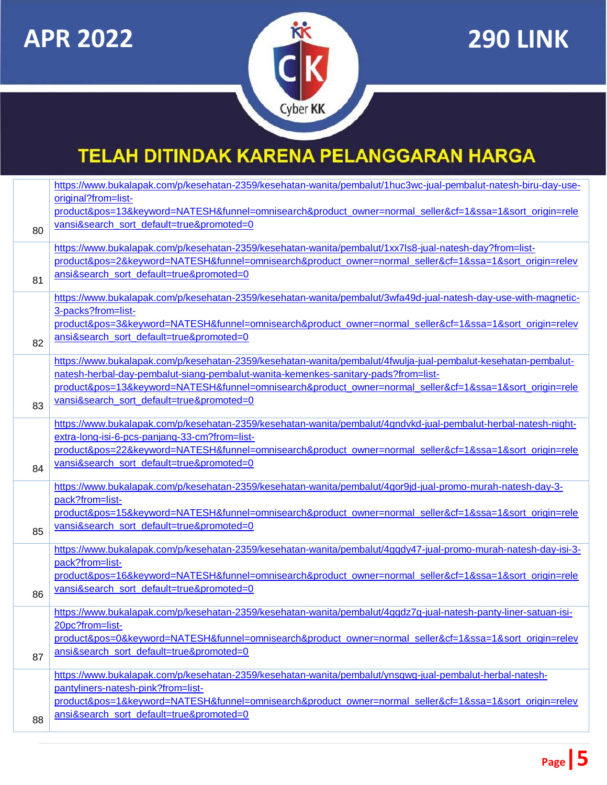

|    | https://www.bukalapak.com/p/kesehatan-2359/kesehatan-wanita/pembalut/1huc3wc-jual-pembalut-natesh-biru-day-use-  |
|----|------------------------------------------------------------------------------------------------------------------|
|    | original?from=list-                                                                                              |
|    | product&pos=13&keyword=NATESH&funnel=omnisearch&product_owner=normal_seller&cf=1&ssa=1&sort_origin=rele          |
| 80 | vansi&search_sort_default=true&promoted=0                                                                        |
|    | https://www.bukalapak.com/p/kesehatan-2359/kesehatan-wanita/pembalut/1xx7ls8-jual-natesh-day?from=list-          |
|    | product&pos=2&keyword=NATESH&funnel=omnisearch&product_owner=normal_seller&cf=1&ssa=1&sort_origin=relev          |
| 81 | ansi&search_sort_default=true&promoted=0                                                                         |
|    | https://www.bukalapak.com/p/kesehatan-2359/kesehatan-wanita/pembalut/3wfa49d-jual-natesh-day-use-with-magnetic-  |
|    | 3-packs?from=list-                                                                                               |
|    | product&pos=3&keyword=NATESH&funnel=omnisearch&product_owner=normal_seller&cf=1&ssa=1&sort_origin=reley          |
| 82 | ansi&search_sort_default=true&promoted=0                                                                         |
|    | https://www.bukalapak.com/p/kesehatan-2359/kesehatan-wanita/pembalut/4fwulja-jual-pembalut-kesehatan-pembalut-   |
|    | natesh-herbal-day-pembalut-siang-pembalut-wanita-kemenkes-sanitary-pads?from=list-                               |
|    | product&pos=13&keyword=NATESH&funnel=omnisearch&product_owner=normal_seller&cf=1&ssa=1&sort_origin=rele          |
| 83 | vansi&search sort default=true&promoted=0                                                                        |
|    | https://www.bukalapak.com/p/kesehatan-2359/kesehatan-wanita/pembalut/4gndvkd-jual-pembalut-herbal-natesh-night-  |
|    | extra-long-isi-6-pcs-panjang-33-cm?from=list-                                                                    |
|    | product&pos=22&keyword=NATESH&funnel=omnisearch&product_owner=normal_seller&cf=1&ssa=1&sort_origin=rele          |
| 84 | vansi&search sort default=true&promoted=0                                                                        |
|    | https://www.bukalapak.com/p/kesehatan-2359/kesehatan-wanita/pembalut/4gor9jd-jual-promo-murah-natesh-day-3-      |
|    | pack?from=list-                                                                                                  |
|    | product&pos=15&keyword=NATESH&funnel=omnisearch&product_owner=normal_seller&cf=1&ssa=1&sort_origin=rele          |
| 85 | vansi&search sort default=true&promoted=0                                                                        |
|    | https://www.bukalapak.com/p/kesehatan-2359/kesehatan-wanita/pembalut/4gqdy47-jual-promo-murah-natesh-day-isi-3-  |
|    | pack?from=list-                                                                                                  |
|    | product&pos=16&keyword=NATESH&funnel=omnisearch&product_owner=normal_seller&cf=1&ssa=1&sort_origin=rele          |
| 86 | vansi&search sort default=true&promoted=0                                                                        |
|    | https://www.bukalapak.com/p/kesehatan-2359/kesehatan-wanita/pembalut/4gqdz7g-jual-natesh-panty-liner-satuan-isi- |
|    | 20pc?from=list-                                                                                                  |
|    | product&pos=0&keyword=NATESH&funnel=omnisearch&product_owner=normal_seller&cf=1&ssa=1&sort_origin=relev          |
| 87 | ansi&search sort default=true&promoted=0                                                                         |
|    | https://www.bukalapak.com/p/kesehatan-2359/kesehatan-wanita/pembalut/ynsqwq-jual-pembalut-herbal-natesh-         |
|    | pantyliners-natesh-pink?from=list-                                                                               |
|    | product&pos=1&keyword=NATESH&funnel=omnisearch&product_owner=normal_seller&cf=1&ssa=1&sort_origin=reley_         |
| 88 | ansi&search sort default=true&promoted=0                                                                         |
|    |                                                                                                                  |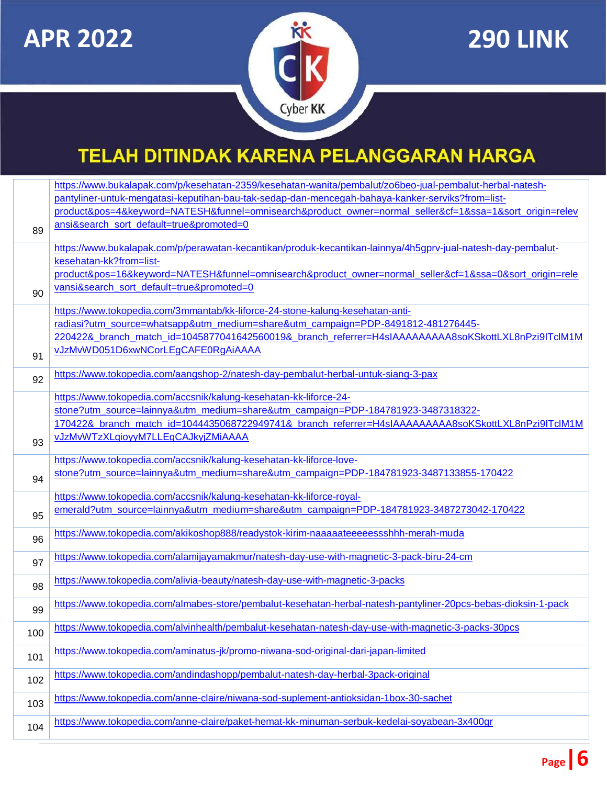

|            | https://www.bukalapak.com/p/kesehatan-2359/kesehatan-wanita/pembalut/zo6beo-jual-pembalut-herbal-natesh-                                                                           |
|------------|------------------------------------------------------------------------------------------------------------------------------------------------------------------------------------|
|            | pantyliner-untuk-mengatasi-keputihan-bau-tak-sedap-dan-mencegah-bahaya-kanker-serviks?from=list-                                                                                   |
|            | product&pos=4&keyword=NATESH&funnel=omnisearch&product_owner=normal_seller&cf=1&ssa=1&sort_origin=relev                                                                            |
|            | ansi&search_sort_default=true&promoted=0                                                                                                                                           |
| 89         |                                                                                                                                                                                    |
|            | https://www.bukalapak.com/p/perawatan-kecantikan/produk-kecantikan-lainnya/4h5qprv-jual-natesh-day-pembalut-                                                                       |
|            | kesehatan-kk?from=list-                                                                                                                                                            |
|            | product&pos=16&keyword=NATESH&funnel=omnisearch&product_owner=normal_seller&cf=1&ssa=0&sort_origin=rele                                                                            |
| 90         | vansi&search sort default=true&promoted=0                                                                                                                                          |
|            |                                                                                                                                                                                    |
|            | https://www.tokopedia.com/3mmantab/kk-liforce-24-stone-kalung-kesehatan-anti-                                                                                                      |
|            | radiasi?utm_source=whatsapp&utm_medium=share&utm_campaign=PDP-8491812-481276445-                                                                                                   |
|            | 220422&_branch_match_id=1045877041642560019&_branch_referrer=H4sIAAAAAAAAA8soKSkottLXL8nPzi9lTclM1M                                                                                |
| 91         | vJzMvWD051D6xwNCorLEgCAFE0RgAiAAAA                                                                                                                                                 |
|            | https://www.tokopedia.com/aangshop-2/natesh-day-pembalut-herbal-untuk-siang-3-pax                                                                                                  |
| 92         |                                                                                                                                                                                    |
|            | https://www.tokopedia.com/accsnik/kalung-kesehatan-kk-liforce-24-                                                                                                                  |
|            | stone?utm_source=lainnya&utm_medium=share&utm_campaign=PDP-184781923-3487318322-                                                                                                   |
|            | 170422& branch match id=1044435068722949741& branch referrer=H4sIAAAAAAAAA8soKSkottLXL8nPzi9lTclM1M                                                                                |
| 93         | vJzMvWTzXLgioyyM7LLEgCAJkyjZMiAAAA                                                                                                                                                 |
|            |                                                                                                                                                                                    |
|            | https://www.tokopedia.com/accsnik/kalung-kesehatan-kk-liforce-love-                                                                                                                |
| 94         | stone?utm_source=lainnya&utm_medium=share&utm_campaign=PDP-184781923-3487133855-170422                                                                                             |
|            | https://www.tokopedia.com/accsnik/kalung-kesehatan-kk-liforce-royal-                                                                                                               |
|            | emerald?utm_source=lainnya&utm_medium=share&utm_campaign=PDP-184781923-3487273042-170422                                                                                           |
| 95         |                                                                                                                                                                                    |
| 96         | https://www.tokopedia.com/akikoshop888/readystok-kirim-naaaaateeeeessshhh-merah-muda                                                                                               |
|            |                                                                                                                                                                                    |
| 97         | https://www.tokopedia.com/alamijayamakmur/natesh-day-use-with-magnetic-3-pack-biru-24-cm                                                                                           |
|            |                                                                                                                                                                                    |
| 98         | https://www.tokopedia.com/alivia-beauty/natesh-day-use-with-magnetic-3-packs                                                                                                       |
|            | https://www.tokopedia.com/almabes-store/pembalut-kesehatan-herbal-natesh-pantyliner-20pcs-bebas-dioksin-1-pack                                                                     |
| 99         |                                                                                                                                                                                    |
| 100        | https://www.tokopedia.com/alvinhealth/pembalut-kesehatan-natesh-day-use-with-magnetic-3-packs-30pcs                                                                                |
|            |                                                                                                                                                                                    |
| 101        |                                                                                                                                                                                    |
|            | https://www.tokopedia.com/andindashopp/pembalut-natesh-day-herbal-3pack-original                                                                                                   |
|            |                                                                                                                                                                                    |
|            | https://www.tokopedia.com/anne-claire/niwana-sod-suplement-antioksidan-1box-30-sachet                                                                                              |
|            |                                                                                                                                                                                    |
| 104        |                                                                                                                                                                                    |
| 102<br>103 | https://www.tokopedia.com/aminatus-jk/promo-niwana-sod-original-dari-japan-limited<br>https://www.tokopedia.com/anne-claire/paket-hemat-kk-minuman-serbuk-kedelai-soyabean-3x400gr |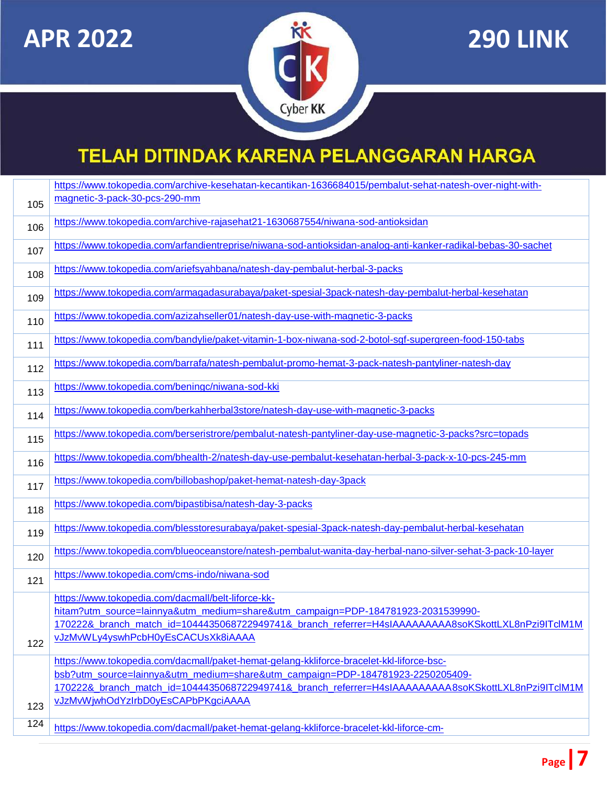

|     | https://www.tokopedia.com/archive-kesehatan-kecantikan-1636684015/pembalut-sehat-natesh-over-night-with-      |
|-----|---------------------------------------------------------------------------------------------------------------|
| 105 | magnetic-3-pack-30-pcs-290-mm                                                                                 |
| 106 | https://www.tokopedia.com/archive-rajasehat21-1630687554/niwana-sod-antioksidan                               |
| 107 | https://www.tokopedia.com/arfandientreprise/niwana-sod-antioksidan-analog-anti-kanker-radikal-bebas-30-sachet |
| 108 | https://www.tokopedia.com/ariefsyahbana/natesh-day-pembalut-herbal-3-packs                                    |
| 109 | https://www.tokopedia.com/armagadasurabaya/paket-spesial-3pack-natesh-day-pembalut-herbal-kesehatan           |
| 110 | https://www.tokopedia.com/azizahseller01/natesh-day-use-with-magnetic-3-packs                                 |
| 111 | https://www.tokopedia.com/bandylie/paket-vitamin-1-box-niwana-sod-2-botol-sgf-supergreen-food-150-tabs        |
| 112 | https://www.tokopedia.com/barrafa/natesh-pembalut-promo-hemat-3-pack-natesh-pantyliner-natesh-day             |
| 113 | https://www.tokopedia.com/beningc/niwana-sod-kki                                                              |
| 114 | https://www.tokopedia.com/berkahherbal3store/natesh-day-use-with-magnetic-3-packs                             |
| 115 | https://www.tokopedia.com/berseristrore/pembalut-natesh-pantyliner-day-use-magnetic-3-packs?src=topads        |
| 116 | https://www.tokopedia.com/bhealth-2/natesh-day-use-pembalut-kesehatan-herbal-3-pack-x-10-pcs-245-mm           |
| 117 | https://www.tokopedia.com/billobashop/paket-hemat-natesh-day-3pack                                            |
| 118 | https://www.tokopedia.com/bipastibisa/natesh-day-3-packs                                                      |
| 119 | https://www.tokopedia.com/blesstoresurabaya/paket-spesial-3pack-natesh-day-pembalut-herbal-kesehatan          |
| 120 | https://www.tokopedia.com/blueoceanstore/natesh-pembalut-wanita-day-herbal-nano-silver-sehat-3-pack-10-layer  |
| 121 | https://www.tokopedia.com/cms-indo/niwana-sod                                                                 |
|     | https://www.tokopedia.com/dacmall/belt-liforce-kk-                                                            |
|     | hitam?utm_source=lainnya&utm_medium=share&utm_campaign=PDP-184781923-2031539990-                              |
|     | 170222&_branch_match_id=1044435068722949741&_branch_referrer=H4sIAAAAAAAAA8soKSkottLXL8nPzi9lTclM1M           |
| 122 | vJzMvWLy4yswhPcbH0yEsCACUsXk8iAAAA                                                                            |
|     | https://www.tokopedia.com/dacmall/paket-hemat-gelang-kkliforce-bracelet-kkl-liforce-bsc-                      |
|     | bsb?utm_source=lainnya&utm_medium=share&utm_campaign=PDP-184781923-2250205409-                                |
|     | 170222& branch match id=1044435068722949741& branch referrer=H4sIAAAAAAAAA8soKSkottLXL8nPzi9ITclM1M           |
| 123 | vJzMvWjwhOdYzIrbD0yEsCAPbPKgciAAAA                                                                            |
| 124 | https://www.tokopedia.com/dacmall/paket-hemat-gelang-kkliforce-bracelet-kkl-liforce-cm-                       |
|     |                                                                                                               |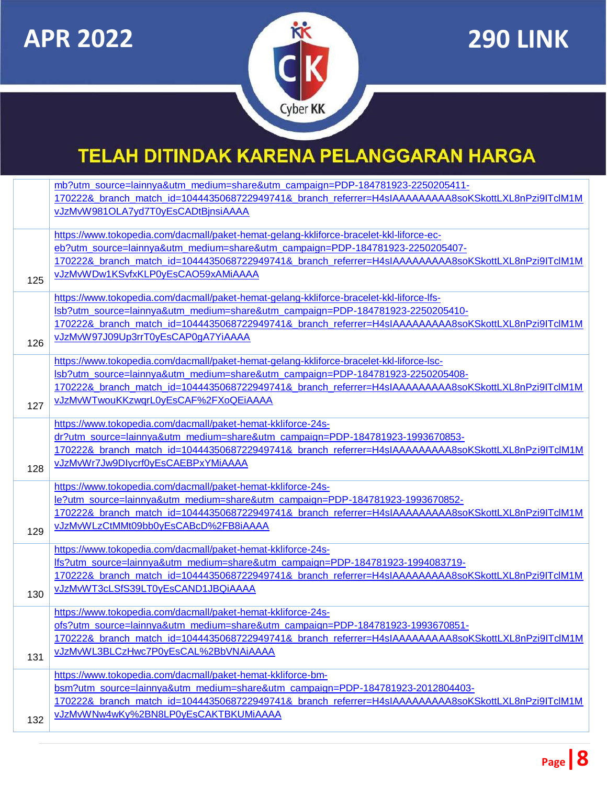

|     | mb?utm_source=lainnya&utm_medium=share&utm_campaign=PDP-184781923-2250205411-<br>170222& branch match id=1044435068722949741& branch referrer=H4sIAAAAAAAA8soKSkottLXL8nPzi9ITclM1M |
|-----|-------------------------------------------------------------------------------------------------------------------------------------------------------------------------------------|
|     | vJzMvW981OLA7yd7T0yEsCADtBjnsiAAAA                                                                                                                                                  |
|     |                                                                                                                                                                                     |
|     | https://www.tokopedia.com/dacmall/paket-hemat-gelang-kkliforce-bracelet-kkl-liforce-ec-                                                                                             |
|     | eb?utm_source=lainnya&utm_medium=share&utm_campaign=PDP-184781923-2250205407-                                                                                                       |
|     | 170222& branch match id=1044435068722949741& branch referrer=H4sIAAAAAAAAA8soKSkottLXL8nPzi9ITclM1M                                                                                 |
|     | vJzMvWDw1KSvfxKLP0yEsCAO59xAMiAAAA                                                                                                                                                  |
| 125 |                                                                                                                                                                                     |
|     | https://www.tokopedia.com/dacmall/paket-hemat-gelang-kkliforce-bracelet-kkl-liforce-lfs-                                                                                            |
|     | Isb?utm_source=lainnya&utm_medium=share&utm_campaign=PDP-184781923-2250205410-                                                                                                      |
|     | 170222& branch match id=1044435068722949741& branch referrer=H4sIAAAAAAAAA8soKSkottLXL8nPzi9ITclM1M                                                                                 |
|     | vJzMvW97J09Up3rrT0yEsCAP0gA7YiAAAA                                                                                                                                                  |
| 126 |                                                                                                                                                                                     |
|     | https://www.tokopedia.com/dacmall/paket-hemat-gelang-kkliforce-bracelet-kkl-liforce-lsc-                                                                                            |
|     | Isb?utm_source=lainnya&utm_medium=share&utm_campaign=PDP-184781923-2250205408-                                                                                                      |
|     | 170222&_branch_match_id=1044435068722949741&_branch_referrer=H4sIAAAAAAAAA8soKSkottLXL8nPzi9lTclM1M                                                                                 |
| 127 | vJzMvWTwouKKzwgrL0yEsCAF%2FXoQEiAAAA                                                                                                                                                |
|     |                                                                                                                                                                                     |
|     | https://www.tokopedia.com/dacmall/paket-hemat-kkliforce-24s-                                                                                                                        |
|     | dr?utm_source=lainnya&utm_medium=share&utm_campaign=PDP-184781923-1993670853-                                                                                                       |
|     | 170222& branch match id=1044435068722949741& branch referrer=H4sIAAAAAAAA8soKSkottLXL8nPzi9lTclM1M                                                                                  |
| 128 | vJzMvWr7Jw9DIycrf0yEsCAEBPxYMiAAAA                                                                                                                                                  |
|     |                                                                                                                                                                                     |
|     | https://www.tokopedia.com/dacmall/paket-hemat-kkliforce-24s-                                                                                                                        |
|     |                                                                                                                                                                                     |
|     | le?utm_source=lainnya&utm_medium=share&utm_campaign=PDP-184781923-1993670852-                                                                                                       |
|     | 170222& branch match id=1044435068722949741& branch referrer=H4sIAAAAAAAAA8soKSkottLXL8nPzi9ITclM1M                                                                                 |
|     | vJzMvWLzCtMMt09bb0yEsCABcD%2FB8iAAAA                                                                                                                                                |
| 129 |                                                                                                                                                                                     |
|     | https://www.tokopedia.com/dacmall/paket-hemat-kkliforce-24s-                                                                                                                        |
|     | lfs?utm_source=lainnya&utm_medium=share&utm_campaign=PDP-184781923-1994083719-                                                                                                      |
|     | 170222& branch match id=1044435068722949741& branch referrer=H4sIAAAAAAAAA8soKSkottLXL8nPzi9ITclM1M                                                                                 |
| 130 | vJzMvWT3cLSfS39LT0yEsCAND1JBQiAAAA                                                                                                                                                  |
|     |                                                                                                                                                                                     |
|     | https://www.tokopedia.com/dacmall/paket-hemat-kkliforce-24s-                                                                                                                        |
|     | <u>ofs?utm_source=lainnya&amp;utm_medium=share&amp;utm_campaign=PDP-184781923-1993670851-</u>                                                                                       |
|     | 170222& branch match id=1044435068722949741& branch referrer=H4sIAAAAAAAAA8soKSkottLXL8nPzi9ITclM1M                                                                                 |
| 131 | vJzMvWL3BLCzHwc7P0yEsCAL%2BbVNAiAAAA                                                                                                                                                |
|     | https://www.tokopedia.com/dacmall/paket-hemat-kkliforce-bm-                                                                                                                         |
|     | bsm?utm_source=lainnya&utm_medium=share&utm_campaign=PDP-184781923-2012804403-                                                                                                      |
|     | 170222& branch match id=1044435068722949741& branch referrer=H4sIAAAAAAAAA8soKSkottLXL8nPzi9ITclM1M                                                                                 |
| 132 | vJzMvWNw4wKy%2BN8LP0yEsCAKTBKUMiAAAA                                                                                                                                                |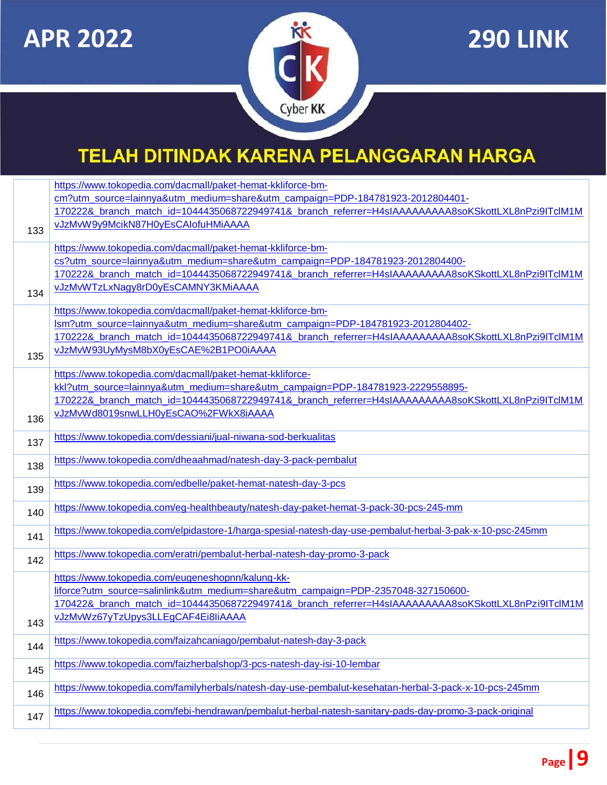

|     | https://www.tokopedia.com/dacmall/paket-hemat-kkliforce-bm-                                               |
|-----|-----------------------------------------------------------------------------------------------------------|
|     | cm?utm_source=lainnya&utm_medium=share&utm_campaign=PDP-184781923-2012804401-                             |
|     | 170222& branch match id=1044435068722949741& branch referrer=H4sIAAAAAAAAA8soKSkottLXL8nPzi9ITclM1M       |
| 133 | vJzMvW9y9McikN87H0yEsCAlofuHMiAAAA                                                                        |
|     | https://www.tokopedia.com/dacmall/paket-hemat-kkliforce-bm-                                               |
|     | cs?utm_source=lainnya&utm_medium=share&utm_campaign=PDP-184781923-2012804400-                             |
|     | 170222&_branch_match_id=1044435068722949741&_branch_referrer=H4sIAAAAAAAAA8soKSkottLXL8nPzi9lTclM1M       |
|     | vJzMvWTzLxNagy8rD0yEsCAMNY3KMiAAAA                                                                        |
| 134 |                                                                                                           |
|     | https://www.tokopedia.com/dacmall/paket-hemat-kkliforce-bm-                                               |
|     | Ism?utm_source=lainnya&utm_medium=share&utm_campaign=PDP-184781923-2012804402-                            |
|     | 170222&_branch_match_id=1044435068722949741&_branch_referrer=H4sIAAAAAAAAA8soKSkottLXL8nPzi9lTclM1M       |
| 135 | vJzMvW93UyMysM8bX0yEsCAE%2B1PO0iAAAA                                                                      |
|     | https://www.tokopedia.com/dacmall/paket-hemat-kkliforce-                                                  |
|     | kkl?utm_source=lainnya&utm_medium=share&utm_campaign=PDP-184781923-2229558895-                            |
|     | 170222& branch match id=1044435068722949741& branch referrer=H4sIAAAAAAAAA8soKSkottLXL8nPzi9ITclM1M       |
| 136 | vJzMvWd8019snwLLH0yEsCAO%2FWkX8iAAAA                                                                      |
|     |                                                                                                           |
| 137 | https://www.tokopedia.com/dessiani/jual-niwana-sod-berkualitas                                            |
| 138 | https://www.tokopedia.com/dheaahmad/natesh-day-3-pack-pembalut                                            |
| 139 | https://www.tokopedia.com/edbelle/paket-hemat-natesh-day-3-pcs                                            |
|     | https://www.tokopedia.com/eg-healthbeauty/natesh-day-paket-hemat-3-pack-30-pcs-245-mm                     |
| 140 |                                                                                                           |
| 141 | https://www.tokopedia.com/elpidastore-1/harga-spesial-natesh-day-use-pembalut-herbal-3-pak-x-10-psc-245mm |
|     | https://www.tokopedia.com/eratri/pembalut-herbal-natesh-day-promo-3-pack                                  |
| 142 |                                                                                                           |
|     | https://www.tokopedia.com/eugeneshopnn/kalung-kk-                                                         |
|     | liforce?utm_source=salinlink&utm_medium=share&utm_campaign=PDP-2357048-327150600-                         |
|     | 170422& branch match id=1044435068722949741& branch referrer=H4sIAAAAAAAAA8soKSkottLXL8nPzi9ITclM1M       |
| 143 | vJzMvWz67yTzUpys3LLEgCAF4Ei8liAAAA                                                                        |
| 144 | https://www.tokopedia.com/faizahcaniago/pembalut-natesh-day-3-pack                                        |
|     | https://www.tokopedia.com/faizherbalshop/3-pcs-natesh-day-isi-10-lembar                                   |
| 145 |                                                                                                           |
| 146 | https://www.tokopedia.com/familyherbals/natesh-day-use-pembalut-kesehatan-herbal-3-pack-x-10-pcs-245mm    |
|     | https://www.tokopedia.com/febi-hendrawan/pembalut-herbal-natesh-sanitary-pads-day-promo-3-pack-original   |
| 147 |                                                                                                           |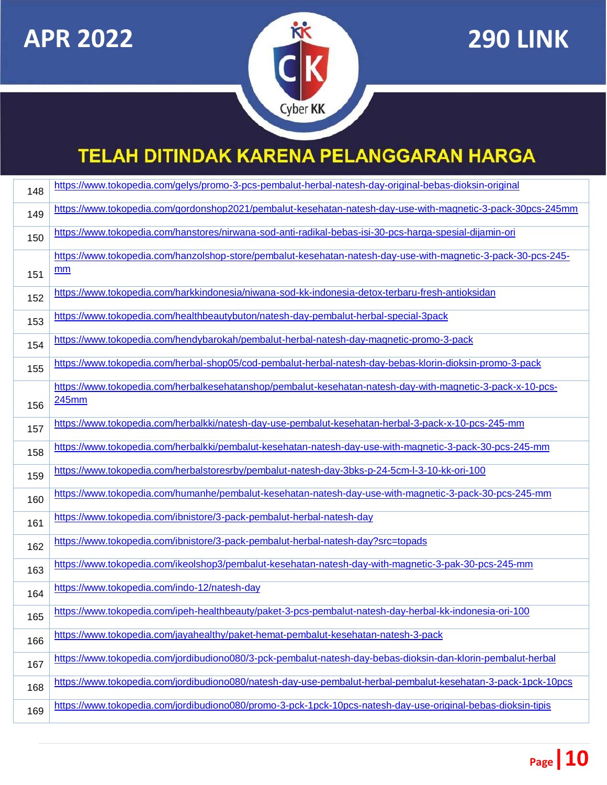

| 148 | https://www.tokopedia.com/gelys/promo-3-pcs-pembalut-herbal-natesh-day-original-bebas-dioksin-original        |
|-----|---------------------------------------------------------------------------------------------------------------|
| 149 | https://www.tokopedia.com/gordonshop2021/pembalut-kesehatan-natesh-day-use-with-magnetic-3-pack-30pcs-245mm   |
| 150 | https://www.tokopedia.com/hanstores/nirwana-sod-anti-radikal-bebas-isi-30-pcs-harga-spesial-dijamin-ori       |
|     | https://www.tokopedia.com/hanzolshop-store/pembalut-kesehatan-natesh-day-use-with-magnetic-3-pack-30-pcs-245- |
| 151 | mm                                                                                                            |
| 152 | https://www.tokopedia.com/harkkindonesia/niwana-sod-kk-indonesia-detox-terbaru-fresh-antioksidan              |
| 153 | https://www.tokopedia.com/healthbeautybuton/natesh-day-pembalut-herbal-special-3pack                          |
| 154 | https://www.tokopedia.com/hendybarokah/pembalut-herbal-natesh-day-magnetic-promo-3-pack                       |
| 155 | https://www.tokopedia.com/herbal-shop05/cod-pembalut-herbal-natesh-day-bebas-klorin-dioksin-promo-3-pack      |
|     | https://www.tokopedia.com/herbalkesehatanshop/pembalut-kesehatan-natesh-day-with-magnetic-3-pack-x-10-pcs-    |
| 156 | 245mm                                                                                                         |
| 157 | https://www.tokopedia.com/herbalkki/natesh-day-use-pembalut-kesehatan-herbal-3-pack-x-10-pcs-245-mm           |
| 158 | https://www.tokopedia.com/herbalkki/pembalut-kesehatan-natesh-day-use-with-magnetic-3-pack-30-pcs-245-mm      |
| 159 | https://www.tokopedia.com/herbalstoresrby/pembalut-natesh-day-3bks-p-24-5cm-l-3-10-kk-ori-100                 |
| 160 | https://www.tokopedia.com/humanhe/pembalut-kesehatan-natesh-day-use-with-magnetic-3-pack-30-pcs-245-mm        |
| 161 | https://www.tokopedia.com/ibnistore/3-pack-pembalut-herbal-natesh-day                                         |
| 162 | https://www.tokopedia.com/ibnistore/3-pack-pembalut-herbal-natesh-day?src=topads                              |
| 163 | https://www.tokopedia.com/ikeolshop3/pembalut-kesehatan-natesh-day-with-magnetic-3-pak-30-pcs-245-mm          |
| 164 | https://www.tokopedia.com/indo-12/natesh-day                                                                  |
| 165 | https://www.tokopedia.com/ipeh-healthbeauty/paket-3-pcs-pembalut-natesh-day-herbal-kk-indonesia-ori-100       |
| 166 | https://www.tokopedia.com/jayahealthy/paket-hemat-pembalut-kesehatan-natesh-3-pack                            |
| 167 | https://www.tokopedia.com/jordibudiono080/3-pck-pembalut-natesh-day-bebas-dioksin-dan-klorin-pembalut-herbal  |
| 168 | https://www.tokopedia.com/jordibudiono080/natesh-day-use-pembalut-herbal-pembalut-kesehatan-3-pack-1pck-10pcs |
| 169 | https://www.tokopedia.com/jordibudiono080/promo-3-pck-1pck-10pcs-natesh-day-use-original-bebas-dioksin-tipis  |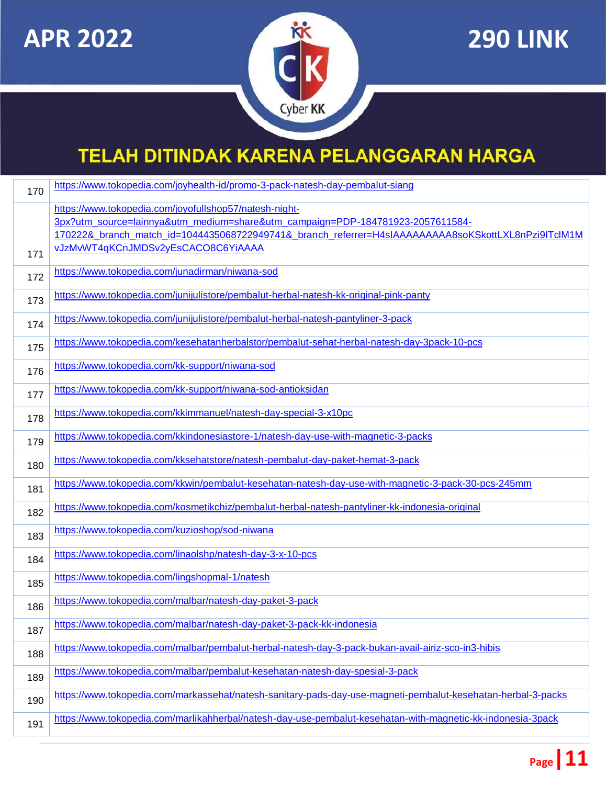

| 170 | https://www.tokopedia.com/joyhealth-id/promo-3-pack-natesh-day-pembalut-siang                                |
|-----|--------------------------------------------------------------------------------------------------------------|
|     | https://www.tokopedia.com/joyofullshop57/natesh-night-                                                       |
|     | 3px?utm_source=lainnya&utm_medium=share&utm_campaign=PDP-184781923-2057611584-                               |
|     | 170222& branch match id=1044435068722949741& branch referrer=H4sIAAAAAAAAA8soKSkottLXL8nPzi9ITclM1M          |
| 171 | vJzMvWT4qKCnJMDSv2yEsCACO8C6YiAAAA                                                                           |
| 172 | https://www.tokopedia.com/junadirman/niwana-sod                                                              |
| 173 | https://www.tokopedia.com/junijulistore/pembalut-herbal-natesh-kk-original-pink-panty                        |
| 174 | https://www.tokopedia.com/junijulistore/pembalut-herbal-natesh-pantyliner-3-pack                             |
| 175 | https://www.tokopedia.com/kesehatanherbalstor/pembalut-sehat-herbal-natesh-day-3pack-10-pcs                  |
| 176 | https://www.tokopedia.com/kk-support/niwana-sod                                                              |
| 177 | https://www.tokopedia.com/kk-support/niwana-sod-antioksidan                                                  |
| 178 | https://www.tokopedia.com/kkimmanuel/natesh-day-special-3-x10pc                                              |
| 179 | https://www.tokopedia.com/kkindonesiastore-1/natesh-day-use-with-magnetic-3-packs                            |
| 180 | https://www.tokopedia.com/kksehatstore/natesh-pembalut-day-paket-hemat-3-pack                                |
| 181 | https://www.tokopedia.com/kkwin/pembalut-kesehatan-natesh-day-use-with-magnetic-3-pack-30-pcs-245mm          |
| 182 | https://www.tokopedia.com/kosmetikchiz/pembalut-herbal-natesh-pantyliner-kk-indonesia-original               |
| 183 | https://www.tokopedia.com/kuzioshop/sod-niwana                                                               |
| 184 | https://www.tokopedia.com/linaolshp/natesh-day-3-x-10-pcs                                                    |
| 185 | https://www.tokopedia.com/lingshopmal-1/natesh                                                               |
| 186 | https://www.tokopedia.com/malbar/natesh-day-paket-3-pack                                                     |
| 187 | https://www.tokopedia.com/malbar/natesh-day-paket-3-pack-kk-indonesia                                        |
| 188 | https://www.tokopedia.com/malbar/pembalut-herbal-natesh-day-3-pack-bukan-avail-airiz-sco-in3-hibis           |
| 189 | https://www.tokopedia.com/malbar/pembalut-kesehatan-natesh-day-spesial-3-pack                                |
| 190 | https://www.tokopedia.com/markassehat/natesh-sanitary-pads-day-use-magneti-pembalut-kesehatan-herbal-3-packs |
| 191 | https://www.tokopedia.com/marlikahherbal/natesh-day-use-pembalut-kesehatan-with-magnetic-kk-indonesia-3pack  |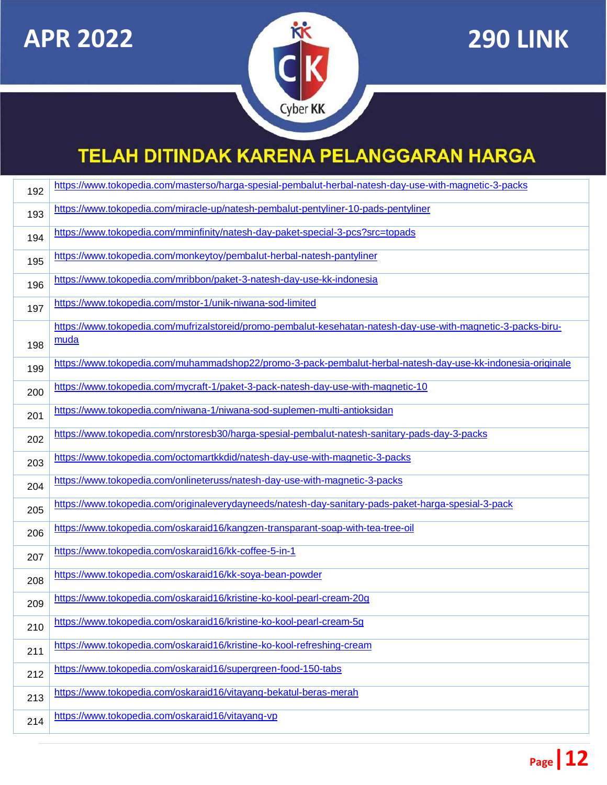

| 192 | https://www.tokopedia.com/masterso/harga-spesial-pembalut-herbal-natesh-day-use-with-magnetic-3-packs                 |
|-----|-----------------------------------------------------------------------------------------------------------------------|
| 193 | https://www.tokopedia.com/miracle-up/natesh-pembalut-pentyliner-10-pads-pentyliner                                    |
| 194 | https://www.tokopedia.com/mminfinity/natesh-day-paket-special-3-pcs?src=topads                                        |
| 195 | https://www.tokopedia.com/monkeytoy/pembalut-herbal-natesh-pantyliner                                                 |
| 196 | https://www.tokopedia.com/mribbon/paket-3-natesh-day-use-kk-indonesia                                                 |
| 197 | https://www.tokopedia.com/mstor-1/unik-niwana-sod-limited                                                             |
| 198 | https://www.tokopedia.com/mufrizalstoreid/promo-pembalut-kesehatan-natesh-day-use-with-magnetic-3-packs-biru-<br>muda |
| 199 | https://www.tokopedia.com/muhammadshop22/promo-3-pack-pembalut-herbal-natesh-day-use-kk-indonesia-originale           |
| 200 | https://www.tokopedia.com/mycraft-1/paket-3-pack-natesh-day-use-with-magnetic-10                                      |
| 201 | https://www.tokopedia.com/niwana-1/niwana-sod-suplemen-multi-antioksidan                                              |
| 202 | https://www.tokopedia.com/nrstoresb30/harga-spesial-pembalut-natesh-sanitary-pads-day-3-packs                         |
| 203 | https://www.tokopedia.com/octomartkkdid/natesh-day-use-with-magnetic-3-packs                                          |
| 204 | https://www.tokopedia.com/onlineteruss/natesh-day-use-with-magnetic-3-packs                                           |
| 205 | https://www.tokopedia.com/originaleverydayneeds/natesh-day-sanitary-pads-paket-harga-spesial-3-pack                   |
| 206 | https://www.tokopedia.com/oskaraid16/kangzen-transparant-soap-with-tea-tree-oil                                       |
| 207 | https://www.tokopedia.com/oskaraid16/kk-coffee-5-in-1                                                                 |
| 208 | https://www.tokopedia.com/oskaraid16/kk-soya-bean-powder                                                              |
| 209 | https://www.tokopedia.com/oskaraid16/kristine-ko-kool-pearl-cream-20g                                                 |
| 210 | https://www.tokopedia.com/oskaraid16/kristine-ko-kool-pearl-cream-5g                                                  |
| 211 | https://www.tokopedia.com/oskaraid16/kristine-ko-kool-refreshing-cream                                                |
| 212 | https://www.tokopedia.com/oskaraid16/supergreen-food-150-tabs                                                         |
| 213 | https://www.tokopedia.com/oskaraid16/vitayang-bekatul-beras-merah                                                     |
| 214 | https://www.tokopedia.com/oskaraid16/vitayang-vp                                                                      |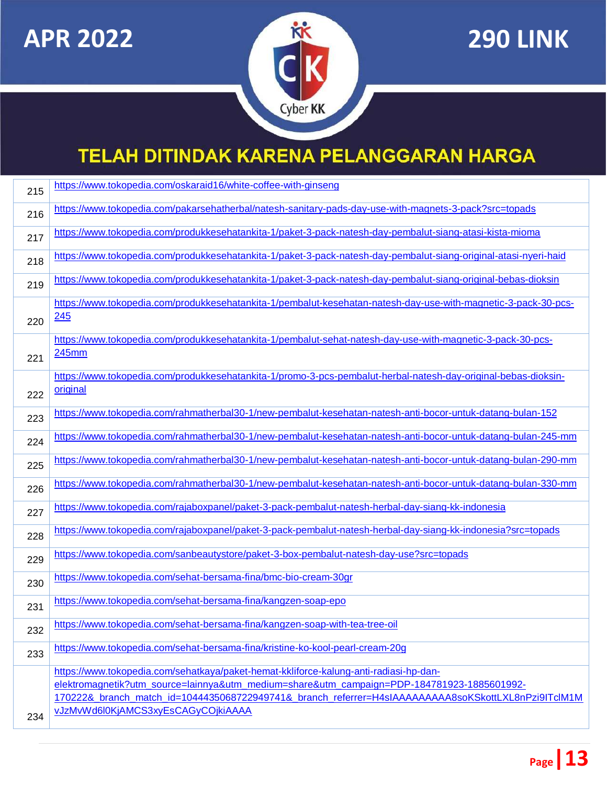

| 215 | https://www.tokopedia.com/oskaraid16/white-coffee-with-ginseng                                                                                                                                                                                                                                                                   |
|-----|----------------------------------------------------------------------------------------------------------------------------------------------------------------------------------------------------------------------------------------------------------------------------------------------------------------------------------|
| 216 | https://www.tokopedia.com/pakarsehatherbal/natesh-sanitary-pads-day-use-with-magnets-3-pack?src=topads                                                                                                                                                                                                                           |
| 217 | https://www.tokopedia.com/produkkesehatankita-1/paket-3-pack-natesh-day-pembalut-siang-atasi-kista-mioma                                                                                                                                                                                                                         |
| 218 | https://www.tokopedia.com/produkkesehatankita-1/paket-3-pack-natesh-day-pembalut-siang-original-atasi-nyeri-haid                                                                                                                                                                                                                 |
| 219 | https://www.tokopedia.com/produkkesehatankita-1/paket-3-pack-natesh-day-pembalut-siang-original-bebas-dioksin                                                                                                                                                                                                                    |
| 220 | https://www.tokopedia.com/produkkesehatankita-1/pembalut-kesehatan-natesh-day-use-with-magnetic-3-pack-30-pcs-<br><u>245</u>                                                                                                                                                                                                     |
| 221 | https://www.tokopedia.com/produkkesehatankita-1/pembalut-sehat-natesh-day-use-with-magnetic-3-pack-30-pcs-<br>245mm                                                                                                                                                                                                              |
| 222 | https://www.tokopedia.com/produkkesehatankita-1/promo-3-pcs-pembalut-herbal-natesh-day-original-bebas-dioksin-<br><u>original</u>                                                                                                                                                                                                |
| 223 | https://www.tokopedia.com/rahmatherbal30-1/new-pembalut-kesehatan-natesh-anti-bocor-untuk-datang-bulan-152                                                                                                                                                                                                                       |
| 224 | https://www.tokopedia.com/rahmatherbal30-1/new-pembalut-kesehatan-natesh-anti-bocor-untuk-datang-bulan-245-mm                                                                                                                                                                                                                    |
| 225 | https://www.tokopedia.com/rahmatherbal30-1/new-pembalut-kesehatan-natesh-anti-bocor-untuk-datang-bulan-290-mm                                                                                                                                                                                                                    |
| 226 | https://www.tokopedia.com/rahmatherbal30-1/new-pembalut-kesehatan-natesh-anti-bocor-untuk-datang-bulan-330-mm                                                                                                                                                                                                                    |
| 227 | https://www.tokopedia.com/rajaboxpanel/paket-3-pack-pembalut-natesh-herbal-day-siang-kk-indonesia                                                                                                                                                                                                                                |
| 228 | https://www.tokopedia.com/rajaboxpanel/paket-3-pack-pembalut-natesh-herbal-day-siang-kk-indonesia?src=topads                                                                                                                                                                                                                     |
| 229 | https://www.tokopedia.com/sanbeautystore/paket-3-box-pembalut-natesh-day-use?src=topads                                                                                                                                                                                                                                          |
| 230 | https://www.tokopedia.com/sehat-bersama-fina/bmc-bio-cream-30gr                                                                                                                                                                                                                                                                  |
| 231 | https://www.tokopedia.com/sehat-bersama-fina/kangzen-soap-epo                                                                                                                                                                                                                                                                    |
| 232 | https://www.tokopedia.com/sehat-bersama-fina/kangzen-soap-with-tea-tree-oil                                                                                                                                                                                                                                                      |
| 233 | https://www.tokopedia.com/sehat-bersama-fina/kristine-ko-kool-pearl-cream-20g                                                                                                                                                                                                                                                    |
| 234 | https://www.tokopedia.com/sehatkaya/paket-hemat-kkliforce-kalung-anti-radiasi-hp-dan-<br>elektromagnetik?utm_source=lainnya&utm_medium=share&utm_campaign=PDP-184781923-1885601992-<br>170222& branch match id=1044435068722949741& branch referrer=H4sIAAAAAAAAA8soKSkottLXL8nPzi9ITclM1M<br>vJzMvWd6l0KjAMCS3xyEsCAGyCOjkiAAAA |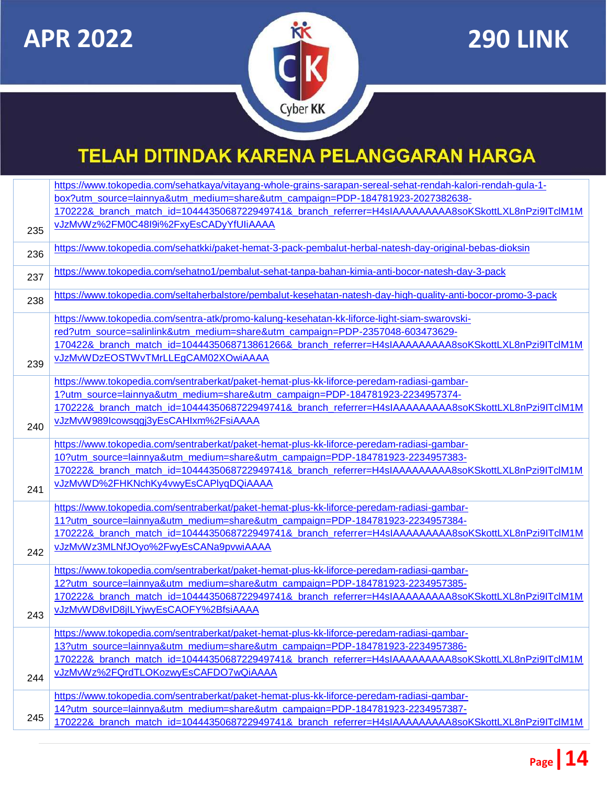

|     | https://www.tokopedia.com/sehatkaya/vitayang-whole-grains-sarapan-sereal-sehat-rendah-kalori-rendah-gula-1-   |
|-----|---------------------------------------------------------------------------------------------------------------|
|     | box?utm_source=lainnya&utm_medium=share&utm_campaign=PDP-184781923-2027382638-                                |
|     | 170222& branch match id=1044435068722949741& branch referrer=H4sIAAAAAAAAA8soKSkottLXL8nPzi9ITclM1M           |
| 235 | vJzMvWz%2FM0C48l9i%2FxyEsCADyYfUIiAAAA                                                                        |
|     |                                                                                                               |
| 236 | https://www.tokopedia.com/sehatkki/paket-hemat-3-pack-pembalut-herbal-natesh-day-original-bebas-dioksin       |
|     | https://www.tokopedia.com/sehatno1/pembalut-sehat-tanpa-bahan-kimia-anti-bocor-natesh-day-3-pack              |
| 237 |                                                                                                               |
| 238 | https://www.tokopedia.com/seltaherbalstore/pembalut-kesehatan-natesh-day-high-quality-anti-bocor-promo-3-pack |
|     |                                                                                                               |
|     | https://www.tokopedia.com/sentra-atk/promo-kalung-kesehatan-kk-liforce-light-siam-swarovski-                  |
|     | red?utm_source=salinlink&utm_medium=share&utm_campaign=PDP-2357048-603473629-                                 |
|     | 170422& branch match id=1044435068713861266& branch referrer=H4sIAAAAAAAAA8soKSkottLXL8nPzi9ITclM1M           |
| 239 | vJzMvWDzEOSTWvTMrLLEgCAM02XOwiAAAA                                                                            |
|     | https://www.tokopedia.com/sentraberkat/paket-hemat-plus-kk-liforce-peredam-radiasi-gambar-                    |
|     | 1?utm_source=lainnya&utm_medium=share&utm_campaign=PDP-184781923-2234957374-                                  |
|     | 170222&_branch_match_id=1044435068722949741&_branch_referrer=H4sIAAAAAAAAA8soKSkottLXL8nPzi9ITclM1M           |
|     | vJzMvW989Icowsqqj3yEsCAHIxm%2FsiAAAA                                                                          |
| 240 |                                                                                                               |
|     | https://www.tokopedia.com/sentraberkat/paket-hemat-plus-kk-liforce-peredam-radiasi-gambar-                    |
|     | 10?utm_source=lainnya&utm_medium=share&utm_campaign=PDP-184781923-2234957383-                                 |
|     | 170222& branch match id=1044435068722949741& branch referrer=H4sIAAAAAAAAA8soKSkottLXL8nPzi9ITclM1M           |
| 241 | vJzMvWD%2FHKNchKy4vwyEsCAPIyqDQiAAAA                                                                          |
|     |                                                                                                               |
|     | https://www.tokopedia.com/sentraberkat/paket-hemat-plus-kk-liforce-peredam-radiasi-gambar-                    |
|     | 11?utm_source=lainnya&utm_medium=share&utm_campaign=PDP-184781923-2234957384-                                 |
|     | 170222& branch match id=1044435068722949741& branch referrer=H4sIAAAAAAAAA8soKSkottLXL8nPzi9ITclM1M           |
| 242 | vJzMvWz3MLNfJOyo%2FwyEsCANa9pvwiAAAA                                                                          |
|     | https://www.tokopedia.com/sentraberkat/paket-hemat-plus-kk-liforce-peredam-radiasi-gambar-                    |
|     | 12?utm_source=lainnya&utm_medium=share&utm_campaign=PDP-184781923-2234957385-                                 |
|     | 170222& branch match id=1044435068722949741& branch referrer=H4sIAAAAAAAAA8soKSkottLXL8nPzi9ITclM1M           |
| 243 | vJzMvWD8vID8jILYjwyEsCAOFY%2BfsiAAAA                                                                          |
|     |                                                                                                               |
|     | https://www.tokopedia.com/sentraberkat/paket-hemat-plus-kk-liforce-peredam-radiasi-gambar-                    |
|     | 13?utm source=lainnya&utm medium=share&utm campaign=PDP-184781923-2234957386-                                 |
|     | 170222& branch match id=1044435068722949741& branch referrer=H4sIAAAAAAAAA8soKSkottLXL8nPzi9ITclM1M           |
| 244 | vJzMvWz%2FQrdTLOKozwyEsCAFDO7wQiAAAA                                                                          |
|     | https://www.tokopedia.com/sentraberkat/paket-hemat-plus-kk-liforce-peredam-radiasi-gambar-                    |
|     | 14?utm_source=lainnya&utm_medium=share&utm_campaign=PDP-184781923-2234957387-                                 |
| 245 | 170222& branch match id=1044435068722949741& branch referrer=H4sIAAAAAAAAA8soKSkottLXL8nPzi9ITclM1M           |
|     |                                                                                                               |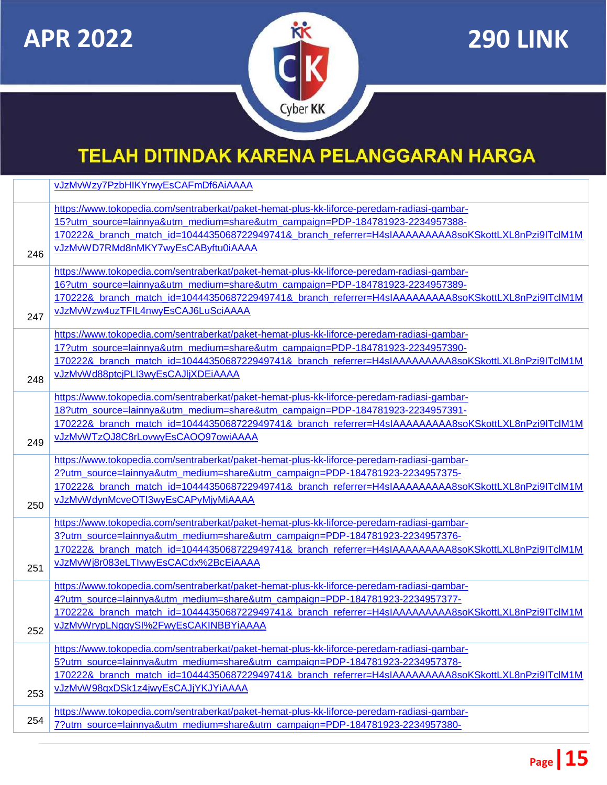

|     | vJzMvWzy7PzbHIKYrwyEsCAFmDf6AiAAAA                                                                  |
|-----|-----------------------------------------------------------------------------------------------------|
|     | https://www.tokopedia.com/sentraberkat/paket-hemat-plus-kk-liforce-peredam-radiasi-gambar-          |
|     | 15?utm_source=lainnya&utm_medium=share&utm_campaign=PDP-184781923-2234957388-                       |
|     | 170222& branch match id=1044435068722949741& branch referrer=H4sIAAAAAAAAA8soKSkottLXL8nPzi9ITclM1M |
| 246 | vJzMvWD7RMd8nMKY7wyEsCAByftu0iAAAA                                                                  |
|     | https://www.tokopedia.com/sentraberkat/paket-hemat-plus-kk-liforce-peredam-radiasi-gambar-          |
|     | 16?utm_source=lainnya&utm_medium=share&utm_campaign=PDP-184781923-2234957389-                       |
|     | 170222& branch match id=1044435068722949741& branch referrer=H4sIAAAAAAAAA8soKSkottLXL8nPzi9ITclM1M |
|     | vJzMvWzw4uzTFIL4nwyEsCAJ6LuSciAAAA                                                                  |
| 247 |                                                                                                     |
|     | https://www.tokopedia.com/sentraberkat/paket-hemat-plus-kk-liforce-peredam-radiasi-gambar-          |
|     | 17?utm_source=lainnya&utm_medium=share&utm_campaign=PDP-184781923-2234957390-                       |
|     | 170222& branch match id=1044435068722949741& branch referrer=H4sIAAAAAAAAA8soKSkottLXL8nPzi9ITclM1M |
| 248 | vJzMvWd88ptcjPLI3wyEsCAJIjXDEiAAAA                                                                  |
|     | https://www.tokopedia.com/sentraberkat/paket-hemat-plus-kk-liforce-peredam-radiasi-gambar-          |
|     | 18?utm_source=lainnya&utm_medium=share&utm_campaign=PDP-184781923-2234957391-                       |
|     | 170222& branch match id=1044435068722949741& branch referrer=H4sIAAAAAAAAA8soKSkottLXL8nPzi9ITclM1M |
| 249 | vJzMvWTzQJ8C8rLovwyEsCAOQ97owiAAAA                                                                  |
|     |                                                                                                     |
|     | https://www.tokopedia.com/sentraberkat/paket-hemat-plus-kk-liforce-peredam-radiasi-gambar-          |
|     | 2?utm_source=lainnya&utm_medium=share&utm_campaign=PDP-184781923-2234957375-                        |
|     | 170222& branch match id=1044435068722949741& branch referrer=H4sIAAAAAAAAA8soKSkottLXL8nPzi9lTclM1M |
| 250 | vJzMvWdynMcveOTI3wyEsCAPyMjyMiAAAA                                                                  |
|     | https://www.tokopedia.com/sentraberkat/paket-hemat-plus-kk-liforce-peredam-radiasi-gambar-          |
|     | 3?utm_source=lainnya&utm_medium=share&utm_campaign=PDP-184781923-2234957376-                        |
|     | 170222&_branch_match_id=1044435068722949741&_branch_referrer=H4sIAAAAAAAAA8soKSkottLXL8nPzi9lTclM1M |
| 251 | vJzMvWj8r083eLTIvwyEsCACdx%2BcEiAAAA                                                                |
|     |                                                                                                     |
|     | https://www.tokopedia.com/sentraberkat/paket-hemat-plus-kk-liforce-peredam-radiasi-gambar-          |
|     | 4?utm_source=lainnya&utm_medium=share&utm_campaign=PDP-184781923-2234957377-                        |
|     | 170222& branch_match_id=1044435068722949741&_branch_referrer=H4sIAAAAAAAAA8soKSkottLXL8nPzi9lTclM1M |
| 252 | vJzMvWrypLNggySI%2FwyEsCAKINBBYiAAAA                                                                |
|     | https://www.tokopedia.com/sentraberkat/paket-hemat-plus-kk-liforce-peredam-radiasi-gambar-          |
|     | 5?utm_source=lainnya&utm_medium=share&utm_campaign=PDP-184781923-2234957378-                        |
|     | 170222& branch match id=1044435068722949741& branch referrer=H4sIAAAAAAAAA8soKSkottLXL8nPzi9lTclM1M |
|     | vJzMvW98gxDSk1z4jwyEsCAJjYKJYiAAAA                                                                  |
| 253 |                                                                                                     |
|     | https://www.tokopedia.com/sentraberkat/paket-hemat-plus-kk-liforce-peredam-radiasi-gambar-          |
| 254 | 7?utm_source=lainnya&utm_medium=share&utm_campaign=PDP-184781923-2234957380-                        |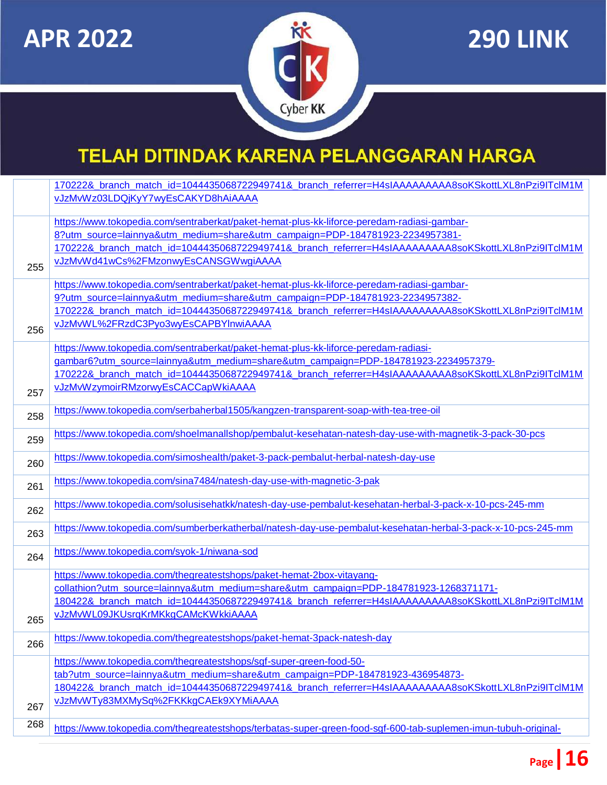

|     | 170222& branch match id=1044435068722949741& branch referrer=H4sIAAAAAAAAA8soKSkottLXL8nPzi9ITclM1M            |
|-----|----------------------------------------------------------------------------------------------------------------|
|     | vJzMvWz03LDQjKyY7wyEsCAKYD8hAiAAAA                                                                             |
|     |                                                                                                                |
|     | https://www.tokopedia.com/sentraberkat/paket-hemat-plus-kk-liforce-peredam-radiasi-gambar-                     |
|     | 8?utm_source=lainnya&utm_medium=share&utm_campaign=PDP-184781923-2234957381-                                   |
|     | 170222& branch match id=1044435068722949741& branch referrer=H4sIAAAAAAAAA8soKSkottLXL8nPzi9ITclM1M            |
| 255 | vJzMvWd41wCs%2FMzonwyEsCANSGWwgiAAAA                                                                           |
|     |                                                                                                                |
|     | https://www.tokopedia.com/sentraberkat/paket-hemat-plus-kk-liforce-peredam-radiasi-gambar-                     |
|     | 9?utm_source=lainnya&utm_medium=share&utm_campaign=PDP-184781923-2234957382-                                   |
|     | 170222& branch match id=1044435068722949741& branch referrer=H4sIAAAAAAAAA8soKSkottLXL8nPzi9ITclM1M            |
| 256 | vJzMvWL%2FRzdC3Pyo3wyEsCAPBYInwiAAAA                                                                           |
|     |                                                                                                                |
|     | https://www.tokopedia.com/sentraberkat/paket-hemat-plus-kk-liforce-peredam-radiasi-                            |
|     | gambar6?utm_source=lainnya&utm_medium=share&utm_campaign=PDP-184781923-2234957379-                             |
|     | 170222& branch match id=1044435068722949741& branch referrer=H4sIAAAAAAAAA8soKSkottLXL8nPzi9ITclM1M            |
| 257 | vJzMvWzymoirRMzorwyEsCACCapWkiAAAA                                                                             |
|     |                                                                                                                |
| 258 | https://www.tokopedia.com/serbaherbal1505/kangzen-transparent-soap-with-tea-tree-oil                           |
|     |                                                                                                                |
| 259 | https://www.tokopedia.com/shoelmanallshop/pembalut-kesehatan-natesh-day-use-with-magnetik-3-pack-30-pcs        |
|     | https://www.tokopedia.com/simoshealth/paket-3-pack-pembalut-herbal-natesh-day-use                              |
| 260 |                                                                                                                |
|     | https://www.tokopedia.com/sina7484/natesh-day-use-with-magnetic-3-pak                                          |
| 261 |                                                                                                                |
| 262 | https://www.tokopedia.com/solusisehatkk/natesh-day-use-pembalut-kesehatan-herbal-3-pack-x-10-pcs-245-mm        |
|     |                                                                                                                |
| 263 | https://www.tokopedia.com/sumberberkatherbal/natesh-day-use-pembalut-kesehatan-herbal-3-pack-x-10-pcs-245-mm   |
|     |                                                                                                                |
| 264 | https://www.tokopedia.com/syok-1/niwana-sod                                                                    |
|     | https://www.tokopedia.com/thegreatestshops/paket-hemat-2box-vitayang-                                          |
|     | collathion?utm_source=lainnya&utm_medium=share&utm_campaign=PDP-184781923-1268371171-                          |
|     | 180422& branch match id=1044435068722949741& branch referrer=H4sIAAAAAAAAA8soKSkottLXL8nPzi9lTclM1M            |
|     | vJzMvWL09JKUsrqKrMKkgCAMcKWkkiAAAA                                                                             |
| 265 |                                                                                                                |
|     | https://www.tokopedia.com/thegreatestshops/paket-hemat-3pack-natesh-day                                        |
| 266 |                                                                                                                |
|     | https://www.tokopedia.com/thegreatestshops/sgf-super-green-food-50-                                            |
|     | tab?utm_source=lainnya&utm_medium=share&utm_campaign=PDP-184781923-436954873-                                  |
|     | 180422& branch match id=1044435068722949741& branch referrer=H4sIAAAAAAAAA8soKSkottLXL8nPzi9ITclM1M            |
|     | vJzMvWTy83MXMySq%2FKKkgCAEk9XYMiAAAA                                                                           |
| 267 |                                                                                                                |
| 268 | https://www.tokopedia.com/thegreatestshops/terbatas-super-green-food-sgf-600-tab-suplemen-imun-tubuh-original- |
|     |                                                                                                                |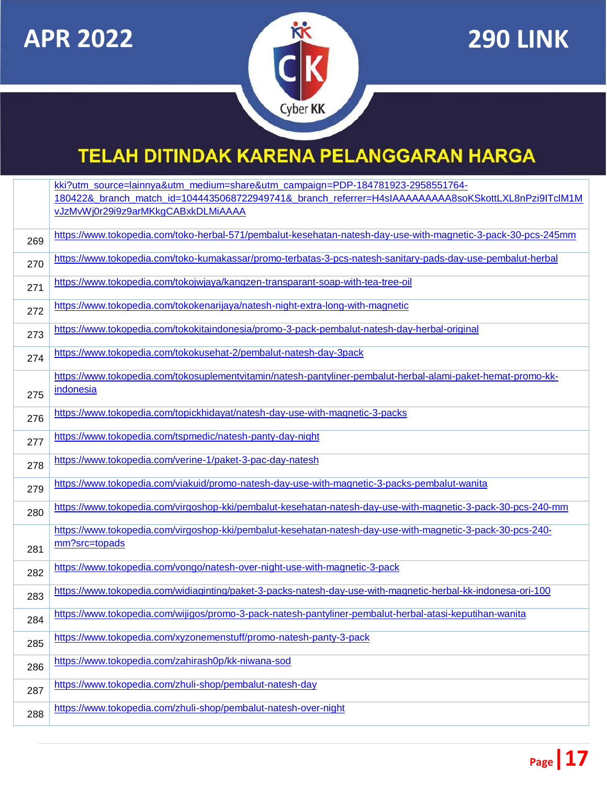

|     | kki?utm_source=lainnya&utm_medium=share&utm_campaign=PDP-184781923-2958551764-                                |
|-----|---------------------------------------------------------------------------------------------------------------|
|     | 180422& branch match id=1044435068722949741& branch referrer=H4sIAAAAAAAAA8soKSkottLXL8nPzi9lTclM1M           |
|     | vJzMvWj0r29i9z9arMKkgCABxkDLMiAAAA                                                                            |
| 269 | https://www.tokopedia.com/toko-herbal-571/pembalut-kesehatan-natesh-day-use-with-magnetic-3-pack-30-pcs-245mm |
| 270 | https://www.tokopedia.com/toko-kumakassar/promo-terbatas-3-pcs-natesh-sanitary-pads-day-use-pembalut-herbal   |
| 271 | https://www.tokopedia.com/tokojwjaya/kangzen-transparant-soap-with-tea-tree-oil                               |
| 272 | https://www.tokopedia.com/tokokenarijaya/natesh-night-extra-long-with-magnetic                                |
| 273 | https://www.tokopedia.com/tokokitaindonesia/promo-3-pack-pembalut-natesh-day-herbal-original                  |
| 274 | https://www.tokopedia.com/tokokusehat-2/pembalut-natesh-day-3pack                                             |
|     | https://www.tokopedia.com/tokosuplementvitamin/natesh-pantyliner-pembalut-herbal-alami-paket-hemat-promo-kk-  |
| 275 | <i>indonesia</i>                                                                                              |
| 276 | https://www.tokopedia.com/topickhidayat/natesh-day-use-with-magnetic-3-packs                                  |
| 277 | https://www.tokopedia.com/tspmedic/natesh-panty-day-night                                                     |
| 278 | https://www.tokopedia.com/verine-1/paket-3-pac-day-natesh                                                     |
| 279 | https://www.tokopedia.com/viakuid/promo-natesh-day-use-with-magnetic-3-packs-pembalut-wanita                  |
| 280 | https://www.tokopedia.com/virgoshop-kki/pembalut-kesehatan-natesh-day-use-with-magnetic-3-pack-30-pcs-240-mm  |
|     | https://www.tokopedia.com/virgoshop-kki/pembalut-kesehatan-natesh-day-use-with-magnetic-3-pack-30-pcs-240-    |
| 281 | mm?src=topads                                                                                                 |
| 282 | https://www.tokopedia.com/vongo/natesh-over-night-use-with-magnetic-3-pack                                    |
| 283 | https://www.tokopedia.com/widiaginting/paket-3-packs-natesh-day-use-with-magnetic-herbal-kk-indonesa-ori-100  |
| 284 | https://www.tokopedia.com/wijigos/promo-3-pack-natesh-pantyliner-pembalut-herbal-atasi-keputihan-wanita       |
| 285 | https://www.tokopedia.com/xyzonemenstuff/promo-natesh-panty-3-pack                                            |
| 286 | https://www.tokopedia.com/zahirash0p/kk-niwana-sod                                                            |
| 287 | https://www.tokopedia.com/zhuli-shop/pembalut-natesh-day                                                      |
| 288 | https://www.tokopedia.com/zhuli-shop/pembalut-natesh-over-night                                               |